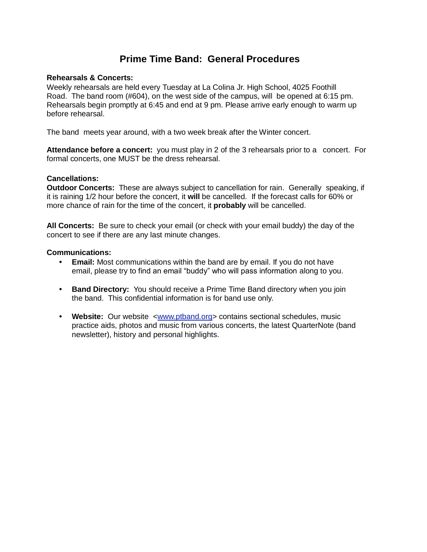# **Prime Time Band: General Procedures**

## **Rehearsals & Concerts:**

Weekly rehearsals are held every Tuesday at La Colina Jr. High School, 4025 Foothill Road. The band room (#604), on the west side of the campus, will be opened at 6:15 pm. Rehearsals begin promptly at 6:45 and end at 9 pm. Please arrive early enough to warm up before rehearsal.

The band meets year around, with a two week break after the Winter concert.

**Attendance before a concert:** you must play in 2 of the 3 rehearsals prior to a concert. For formal concerts, one MUST be the dress rehearsal.

## **Cancellations:**

**Outdoor Concerts:** These are always subject to cancellation for rain. Generally speaking, if it is raining 1/2 hour before the concert, it **will** be cancelled. If the forecast calls for 60% or more chance of rain for the time of the concert, it **probably** will be cancelled.

**All Concerts:** Be sure to check your email (or check with your email buddy) the day of the concert to see if there are any last minute changes.

### **Communications:**

- **• Email:** Most communications within the band are by email. If you do not have email, please try to find an email "buddy" who will pass information along to you.
- **• Band Directory:** You should receive a Prime Time Band directory when you join the band. This confidential information is for band use only.
- **• Website:** Our website [<www.ptband.org>](http://www.ptband.org/) contains sectional schedules, music practice aids, photos and music from various concerts, the latest QuarterNote (band newsletter), history and personal highlights.